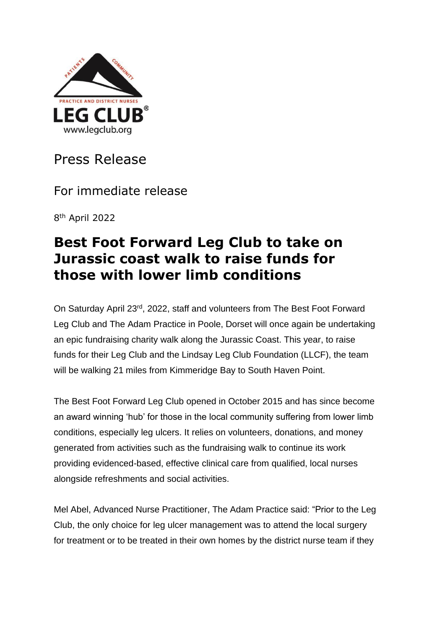

Press Release

For immediate release

8 th April 2022

## **Best Foot Forward Leg Club to take on Jurassic coast walk to raise funds for those with lower limb conditions**

On Saturday April 23rd, 2022, staff and volunteers from The Best Foot Forward Leg Club and The Adam Practice in Poole, Dorset will once again be undertaking an epic fundraising charity walk along the Jurassic Coast. This year, to raise funds for their Leg Club and the Lindsay Leg Club Foundation (LLCF), the team will be walking 21 miles from Kimmeridge Bay to South Haven Point.

The Best Foot Forward Leg Club opened in October 2015 and has since become an award winning 'hub' for those in the local community suffering from lower limb conditions, especially leg ulcers. It relies on volunteers, donations, and money generated from activities such as the fundraising walk to continue its work providing evidenced-based, effective clinical care from qualified, local nurses alongside refreshments and social activities.

Mel Abel, Advanced Nurse Practitioner, The Adam Practice said: "Prior to the Leg Club, the only choice for leg ulcer management was to attend the local surgery for treatment or to be treated in their own homes by the district nurse team if they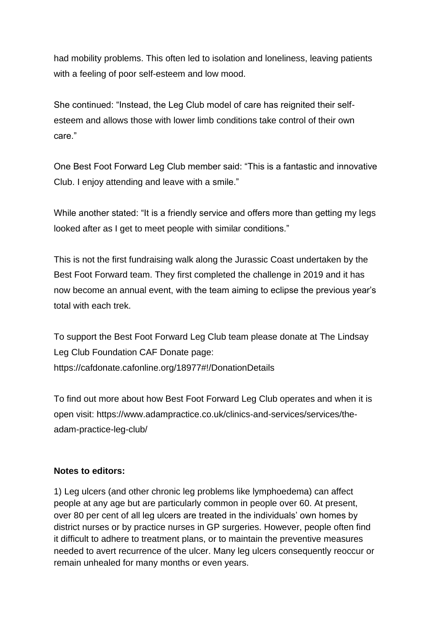had mobility problems. This often led to isolation and loneliness, leaving patients with a feeling of poor self-esteem and low mood.

She continued: "Instead, the Leg Club model of care has reignited their selfesteem and allows those with lower limb conditions take control of their own care."

One Best Foot Forward Leg Club member said: "This is a fantastic and innovative Club. I enjoy attending and leave with a smile."

While another stated: "It is a friendly service and offers more than getting my legs looked after as I get to meet people with similar conditions."

This is not the first fundraising walk along the Jurassic Coast undertaken by the Best Foot Forward team. They first completed the challenge in 2019 and it has now become an annual event, with the team aiming to eclipse the previous year's total with each trek.

To support the Best Foot Forward Leg Club team please donate at The Lindsay Leg Club Foundation CAF Donate page: https://cafdonate.cafonline.org/18977#!/DonationDetails

To find out more about how Best Foot Forward Leg Club operates and when it is open visit: https:/[/www.adampractice.co.uk/clinics-and-services/services/the](http://www.adampractice.co.uk/clinics-and-services/services/the-)adam-practice-leg-club/

## **Notes to editors:**

1) Leg ulcers (and other chronic leg problems like lymphoedema) can affect people at any age but are particularly common in people over 60. At present, over 80 per cent of all leg ulcers are treated in the individuals' own homes by district nurses or by practice nurses in GP surgeries. However, people often find it difficult to adhere to treatment plans, or to maintain the preventive measures needed to avert recurrence of the ulcer. Many leg ulcers consequently reoccur or remain unhealed for many months or even years.